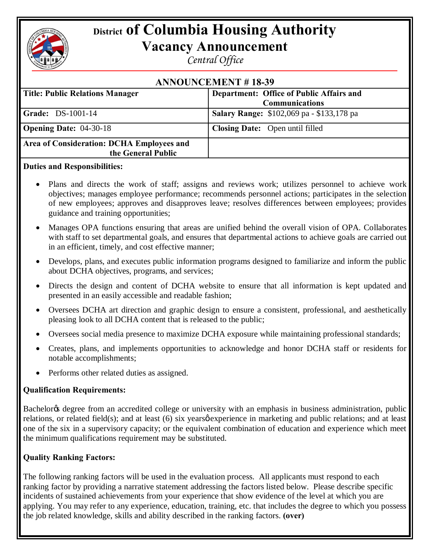# **District of Columbia Housing Authority**

## **Vacancy Announcement**

*Central Office*

| <b>ANNOUNCEMENT #18-39</b>                                      |                                                                          |
|-----------------------------------------------------------------|--------------------------------------------------------------------------|
| <b>Title: Public Relations Manager</b>                          | <b>Department: Office of Public Affairs and</b><br><b>Communications</b> |
| <b>Grade: DS-1001-14</b>                                        | <b>Salary Range:</b> \$102,069 pa - \$133,178 pa                         |
| <b>Opening Date: 04-30-18</b>                                   | <b>Closing Date:</b> Open until filled                                   |
| Area of Consideration: DCHA Employees and<br>the General Public |                                                                          |

#### **Duties and Responsibilities:**

- · Plans and directs the work of staff; assigns and reviews work; utilizes personnel to achieve work objectives; manages employee performance; recommends personnel actions; participates in the selection of new employees; approves and disapproves leave; resolves differences between employees; provides guidance and training opportunities;
- Manages OPA functions ensuring that areas are unified behind the overall vision of OPA. Collaborates with staff to set departmental goals, and ensures that departmental actions to achieve goals are carried out in an efficient, timely, and cost effective manner;
- Develops, plans, and executes public information programs designed to familiarize and inform the public about DCHA objectives, programs, and services;
- Directs the design and content of DCHA website to ensure that all information is kept updated and presented in an easily accessible and readable fashion;
- Oversees DCHA art direction and graphic design to ensure a consistent, professional, and aesthetically pleasing look to all DCHA content that is released to the public;
- Oversees social media presence to maximize DCHA exposure while maintaining professional standards;
- · Creates, plans, and implements opportunities to acknowledge and honor DCHA staff or residents for notable accomplishments;
- Performs other related duties as assigned.

### **Qualification Requirements:**

Bachelor<sub>of</sub> degree from an accredited college or university with an emphasis in business administration, public relations, or related field(s); and at least (6) six years  $\phi$  experience in marketing and public relations; and at least one of the six in a supervisory capacity; or the equivalent combination of education and experience which meet the minimum qualifications requirement may be substituted.

### **Quality Ranking Factors:**

The following ranking factors will be used in the evaluation process. All applicants must respond to each ranking factor by providing a narrative statement addressing the factors listed below. Please describe specific incidents of sustained achievements from your experience that show evidence of the level at which you are applying. You may refer to any experience, education, training, etc. that includes the degree to which you possess the job related knowledge, skills and ability described in the ranking factors. **(over)**